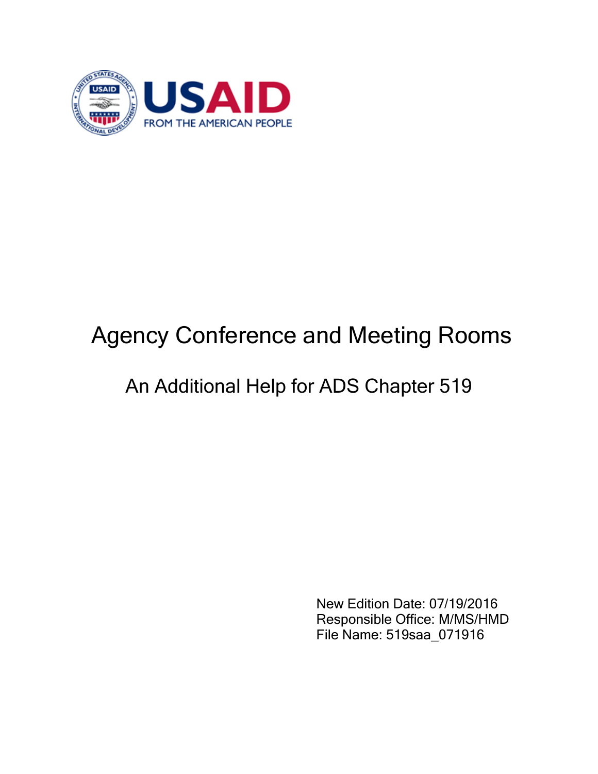

## Agency Conference and Meeting Rooms

## An Additional Help for ADS Chapter 519

 New Edition Date: 07/19/2016 Responsible Office: M/MS/HMD File Name: 519saa\_071916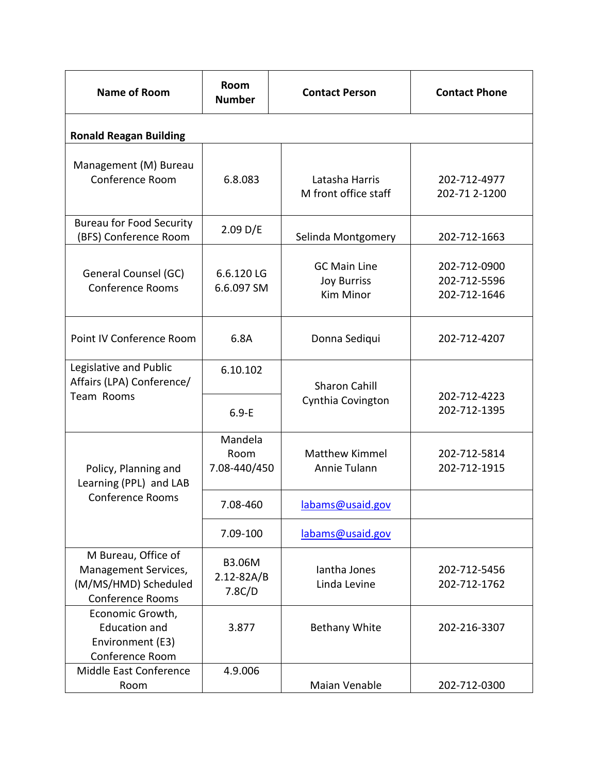| <b>Name of Room</b>                                                                            | <b>Room</b><br><b>Number</b>              | <b>Contact Person</b>                                         | <b>Contact Phone</b>                         |  |  |
|------------------------------------------------------------------------------------------------|-------------------------------------------|---------------------------------------------------------------|----------------------------------------------|--|--|
| <b>Ronald Reagan Building</b>                                                                  |                                           |                                                               |                                              |  |  |
| Management (M) Bureau<br>Conference Room                                                       | 6.8.083                                   | Latasha Harris<br>M front office staff                        | 202-712-4977<br>202-71 2-1200                |  |  |
| <b>Bureau for Food Security</b><br>(BFS) Conference Room                                       | 2.09 D/E                                  | Selinda Montgomery                                            | 202-712-1663                                 |  |  |
| General Counsel (GC)<br><b>Conference Rooms</b>                                                | 6.6.120LG<br>6.6.097 SM                   | <b>GC Main Line</b><br><b>Joy Burriss</b><br><b>Kim Minor</b> | 202-712-0900<br>202-712-5596<br>202-712-1646 |  |  |
| Point IV Conference Room                                                                       | 6.8A                                      | Donna Sediqui                                                 | 202-712-4207                                 |  |  |
| Legislative and Public<br>Affairs (LPA) Conference/<br>Team Rooms                              | 6.10.102                                  | <b>Sharon Cahill</b>                                          | 202-712-4223                                 |  |  |
|                                                                                                | $6.9-E$                                   | Cynthia Covington                                             | 202-712-1395                                 |  |  |
| Policy, Planning and<br>Learning (PPL) and LAB<br><b>Conference Rooms</b>                      | Mandela<br>Room<br>7.08-440/450           | <b>Matthew Kimmel</b><br>Annie Tulann                         | 202-712-5814<br>202-712-1915                 |  |  |
|                                                                                                | 7.08-460                                  | labams@usaid.gov                                              |                                              |  |  |
|                                                                                                | 7.09-100                                  | labams@usaid.gov                                              |                                              |  |  |
| M Bureau, Office of<br>Management Services,<br>(M/MS/HMD) Scheduled<br><b>Conference Rooms</b> | <b>B3.06M</b><br>$2.12 - 82A/B$<br>7.8C/D | lantha Jones<br>Linda Levine                                  | 202-712-5456<br>202-712-1762                 |  |  |
| Economic Growth,<br><b>Education and</b><br>Environment (E3)<br>Conference Room                | 3.877                                     | <b>Bethany White</b>                                          | 202-216-3307                                 |  |  |
| Middle East Conference<br>Room                                                                 | 4.9.006                                   | Maian Venable                                                 | 202-712-0300                                 |  |  |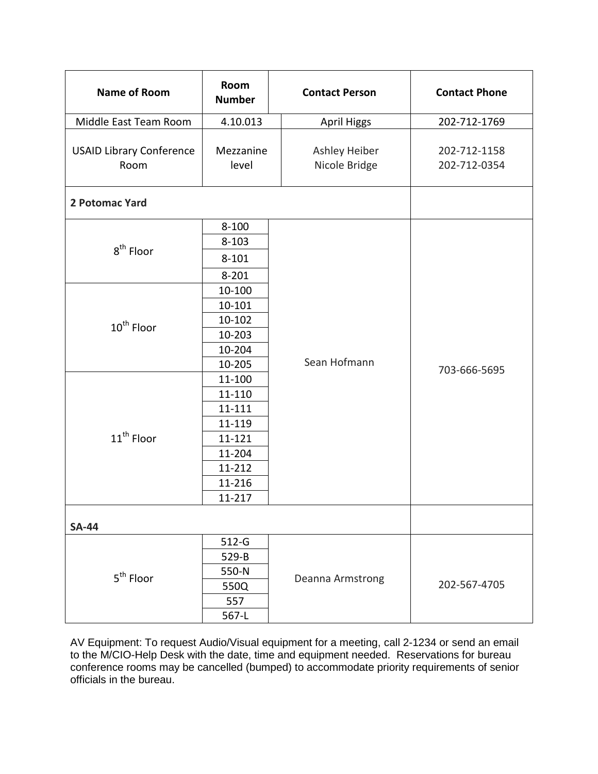| <b>Name of Room</b>                     | Room<br><b>Number</b> | <b>Contact Person</b>            | <b>Contact Phone</b>         |
|-----------------------------------------|-----------------------|----------------------------------|------------------------------|
| Middle East Team Room                   | 4.10.013              | <b>April Higgs</b>               | 202-712-1769                 |
| <b>USAID Library Conference</b><br>Room | Mezzanine<br>level    | Ashley Heiber<br>Nicole Bridge   | 202-712-1158<br>202-712-0354 |
| 2 Potomac Yard                          |                       |                                  |                              |
| 8 <sup>th</sup> Floor                   | $8 - 100$             |                                  | 703-666-5695                 |
|                                         | $8 - 103$             |                                  |                              |
|                                         | $8 - 101$             |                                  |                              |
|                                         | $8 - 201$             |                                  |                              |
|                                         | 10-100                |                                  |                              |
|                                         | 10-101                | Sean Hofmann                     |                              |
| $10^{th}$ Floor                         | 10-102                |                                  |                              |
|                                         | 10-203                |                                  |                              |
|                                         | 10-204                |                                  |                              |
|                                         | 10-205                |                                  |                              |
| 11 <sup>th</sup> Floor                  | 11-100                |                                  |                              |
|                                         | 11-110                |                                  |                              |
|                                         | 11-111                |                                  |                              |
|                                         | 11-119                |                                  |                              |
|                                         | 11-121                |                                  |                              |
|                                         | 11-204                |                                  |                              |
|                                         | 11-212                |                                  |                              |
|                                         | 11-216                |                                  |                              |
|                                         | 11-217                |                                  |                              |
| <b>SA-44</b>                            |                       |                                  |                              |
| 5 <sup>th</sup> Floor                   | $512-G$               | Deanna Armstrong<br>202-567-4705 |                              |
|                                         | 529-B                 |                                  |                              |
|                                         | 550-N                 |                                  |                              |
|                                         | 550Q                  |                                  |                              |
|                                         | 557                   |                                  |                              |
|                                         | 567-L                 |                                  |                              |

AV Equipment: To request Audio/Visual equipment for a meeting, call 2-1234 or send an email to the M/CIO-Help Desk with the date, time and equipment needed. Reservations for bureau conference rooms may be cancelled (bumped) to accommodate priority requirements of senior officials in the bureau.